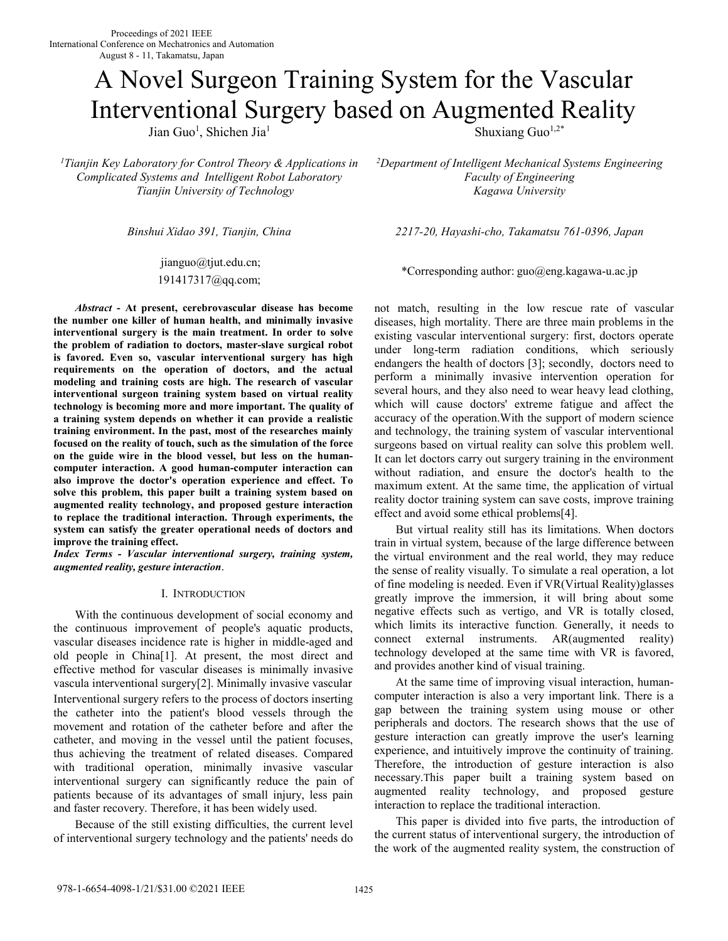# A Novel Surgeon Training System for the Vascular Interventional Surgery based on Augmented Reality

Jian Guo<sup>1</sup>, Shichen Jia<sup>1</sup>

*<sup>1</sup>Tianjin Key Laboratory for Control Theory & Applications in Complicated Systems and Intelligent Robot Laboratory Tianjin University of Technology* 

 jianguo@tjut.edu.cn; 191417317@qq.com;

*Abstract* **- At present, cerebrovascular disease has become the number one killer of human health, and minimally invasive interventional surgery is the main treatment. In order to solve the problem of radiation to doctors, master-slave surgical robot is favored. Even so, vascular interventional surgery has high requirements on the operation of doctors, and the actual modeling and training costs are high. The research of vascular interventional surgeon training system based on virtual reality technology is becoming more and more important. The quality of a training system depends on whether it can provide a realistic training environment. In the past, most of the researches mainly focused on the reality of touch, such as the simulation of the force on the guide wire in the blood vessel, but less on the humancomputer interaction. A good human-computer interaction can also improve the doctor's operation experience and effect. To solve this problem, this paper built a training system based on augmented reality technology, and proposed gesture interaction to replace the traditional interaction. Through experiments, the system can satisfy the greater operational needs of doctors and improve the training effect.** 

*Index Terms - Vascular interventional surgery, training system, augmented reality, gesture interaction*.

# I. INTRODUCTION

 With the continuous development of social economy and the continuous improvement of people's aquatic products, vascular diseases incidence rate is higher in middle-aged and old people in China[1]. At present, the most direct and effective method for vascular diseases is minimally invasive vascula interventional surgery[2]. Minimally invasive vascular Interventional surgery refers to the process of doctors inserting the catheter into the patient's blood vessels through the movement and rotation of the catheter before and after the catheter, and moving in the vessel until the patient focuses, thus achieving the treatment of related diseases. Compared with traditional operation, minimally invasive vascular interventional surgery can significantly reduce the pain of patients because of its advantages of small injury, less pain and faster recovery. Therefore, it has been widely used.

 Because of the still existing difficulties, the current level of interventional surgery technology and the patients' needs do

Shuxiang Guo<sup>1,2\*</sup>

*<sup>2</sup>Department of Intelligent Mechanical Systems Engineering Faculty of Engineering Kagawa University* 

*Binshui Xidao 391, Tianjin, China 2217-20, Hayashi-cho, Takamatsu 761-0396, Japan* 

\*Corresponding author: guo@eng.kagawa-u.ac.jp

not match, resulting in the low rescue rate of vascular diseases, high mortality. There are three main problems in the existing vascular interventional surgery: first, doctors operate under long-term radiation conditions, which seriously endangers the health of doctors [3]; secondly, doctors need to perform a minimally invasive intervention operation for several hours, and they also need to wear heavy lead clothing, which will cause doctors' extreme fatigue and affect the accuracy of the operation.With the support of modern science and technology, the training system of vascular interventional surgeons based on virtual reality can solve this problem well. It can let doctors carry out surgery training in the environment without radiation, and ensure the doctor's health to the maximum extent. At the same time, the application of virtual reality doctor training system can save costs, improve training effect and avoid some ethical problems[4].

 But virtual reality still has its limitations. When doctors train in virtual system, because of the large difference between the virtual environment and the real world, they may reduce the sense of reality visually. To simulate a real operation, a lot of fine modeling is needed. Even if VR(Virtual Reality)glasses greatly improve the immersion, it will bring about some negative effects such as vertigo, and VR is totally closed, which limits its interactive function. Generally, it needs to connect external instruments. AR(augmented reality) technology developed at the same time with VR is favored, and provides another kind of visual training.

 At the same time of improving visual interaction, humancomputer interaction is also a very important link. There is a gap between the training system using mouse or other peripherals and doctors. The research shows that the use of gesture interaction can greatly improve the user's learning experience, and intuitively improve the continuity of training. Therefore, the introduction of gesture interaction is also necessary.This paper built a training system based on augmented reality technology, and proposed gesture interaction to replace the traditional interaction.

 This paper is divided into five parts, the introduction of the current status of interventional surgery, the introduction of the work of the augmented reality system, the construction of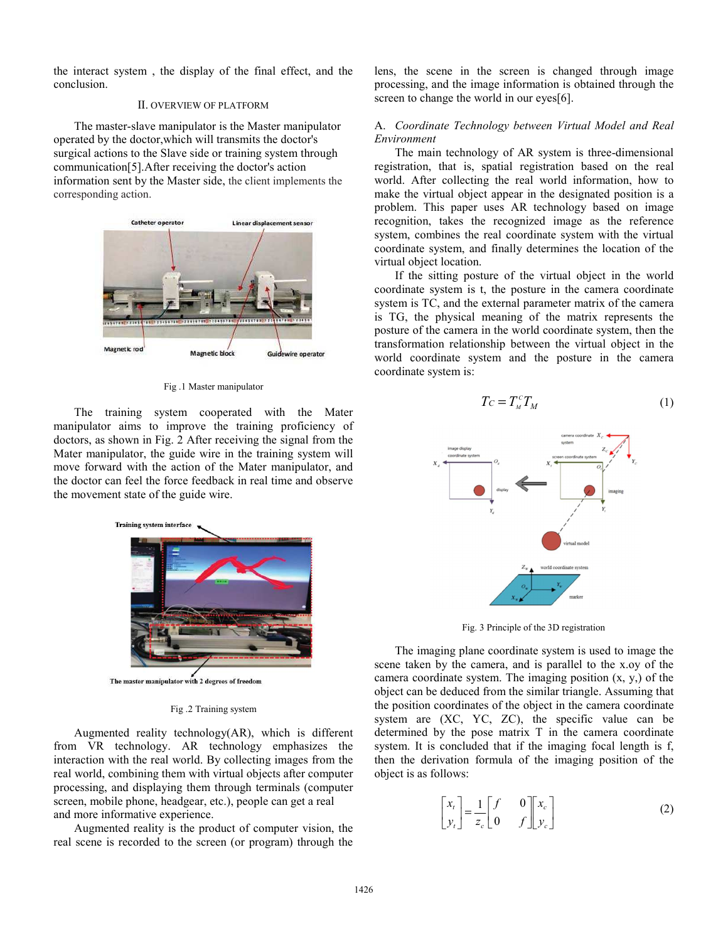the interact system , the display of the final effect, and the conclusion.

# Ⅱ. OVERVIEW OF PLATFORM

The master-slave manipulator is the Master manipulator operated by the doctor,which will transmits the doctor's surgical actions to the Slave side or training system through communication[5].After receiving the doctor's action information sent by the Master side, the client implements the corresponding action.



Fig .1 Master manipulator

The training system cooperated with the Mater manipulator aims to improve the training proficiency of doctors, as shown in Fig. 2 After receiving the signal from the Mater manipulator, the guide wire in the training system will move forward with the action of the Mater manipulator, and the doctor can feel the force feedback in real time and observe the movement state of the guide wire.



The master manipulator with 2 degrees of freedom

#### Fig .2 Training system

Augmented reality technology(AR), which is different from VR technology. AR technology emphasizes the interaction with the real world. By collecting images from the real world, combining them with virtual objects after computer processing, and displaying them through terminals (computer screen, mobile phone, headgear, etc.), people can get a real and more informative experience.

Augmented reality is the product of computer vision, the real scene is recorded to the screen (or program) through the lens, the scene in the screen is changed through image processing, and the image information is obtained through the screen to change the world in our eyes[6].

# A. *Coordinate Technology between Virtual Model and Real Environment*

The main technology of AR system is three-dimensional registration, that is, spatial registration based on the real world. After collecting the real world information, how to make the virtual object appear in the designated position is a problem. This paper uses AR technology based on image recognition, takes the recognized image as the reference system, combines the real coordinate system with the virtual coordinate system, and finally determines the location of the virtual object location.

If the sitting posture of the virtual object in the world coordinate system is t, the posture in the camera coordinate system is TC, and the external parameter matrix of the camera is TG, the physical meaning of the matrix represents the posture of the camera in the world coordinate system, then the transformation relationship between the virtual object in the world coordinate system and the posture in the camera coordinate system is:

$$
T_C = T_M^c T_M \tag{1}
$$



Fig. 3 Principle of the 3D registration

The imaging plane coordinate system is used to image the scene taken by the camera, and is parallel to the x.oy of the camera coordinate system. The imaging position (x, y,) of the object can be deduced from the similar triangle. Assuming that the position coordinates of the object in the camera coordinate system are (XC, YC, ZC), the specific value can be determined by the pose matrix T in the camera coordinate system. It is concluded that if the imaging focal length is f, then the derivation formula of the imaging position of the object is as follows:

$$
\begin{bmatrix} x_t \\ y_t \end{bmatrix} = \frac{1}{z_c} \begin{bmatrix} f & 0 \\ 0 & f \end{bmatrix} \begin{bmatrix} x_c \\ y_c \end{bmatrix}
$$
 (2)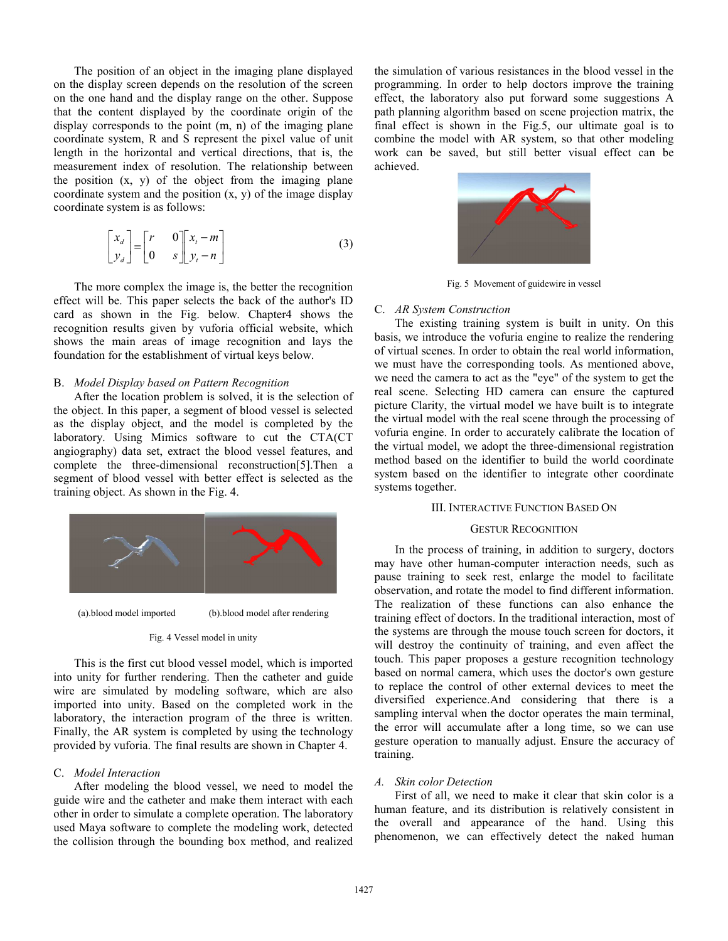The position of an object in the imaging plane displayed on the display screen depends on the resolution of the screen on the one hand and the display range on the other. Suppose that the content displayed by the coordinate origin of the display corresponds to the point (m, n) of the imaging plane coordinate system, R and S represent the pixel value of unit length in the horizontal and vertical directions, that is, the measurement index of resolution. The relationship between the position  $(x, y)$  of the object from the imaging plane coordinate system and the position  $(x, y)$  of the image display coordinate system is as follows:

$$
\begin{bmatrix} x_d \\ y_d \end{bmatrix} = \begin{bmatrix} r & 0 \\ 0 & s \end{bmatrix} \begin{bmatrix} x_t - m \\ y_t - n \end{bmatrix}
$$
 (3)

The more complex the image is, the better the recognition effect will be. This paper selects the back of the author's ID card as shown in the Fig. below. Chapter4 shows the recognition results given by vuforia official website, which shows the main areas of image recognition and lays the foundation for the establishment of virtual keys below.

# B. *Model Display based on Pattern Recognition*

After the location problem is solved, it is the selection of the object. In this paper, a segment of blood vessel is selected as the display object, and the model is completed by the laboratory. Using Mimics software to cut the CTA(CT angiography) data set, extract the blood vessel features, and complete the three-dimensional reconstruction[5].Then a segment of blood vessel with better effect is selected as the training object. As shown in the Fig. 4.



# Fig. 4 Vessel model in unity

This is the first cut blood vessel model, which is imported into unity for further rendering. Then the catheter and guide wire are simulated by modeling software, which are also imported into unity. Based on the completed work in the laboratory, the interaction program of the three is written. Finally, the AR system is completed by using the technology provided by vuforia. The final results are shown in Chapter 4.

# C. *Model Interaction*

After modeling the blood vessel, we need to model the guide wire and the catheter and make them interact with each other in order to simulate a complete operation. The laboratory used Maya software to complete the modeling work, detected the collision through the bounding box method, and realized

the simulation of various resistances in the blood vessel in the programming. In order to help doctors improve the training effect, the laboratory also put forward some suggestions A path planning algorithm based on scene projection matrix, the final effect is shown in the Fig.5, our ultimate goal is to combine the model with AR system, so that other modeling work can be saved, but still better visual effect can be achieved.



Fig. 5 Movement of guidewire in vessel

# C. *AR System Construction*

The existing training system is built in unity. On this basis, we introduce the vofuria engine to realize the rendering of virtual scenes. In order to obtain the real world information, we must have the corresponding tools. As mentioned above, we need the camera to act as the "eye" of the system to get the real scene. Selecting HD camera can ensure the captured picture Clarity, the virtual model we have built is to integrate the virtual model with the real scene through the processing of vofuria engine. In order to accurately calibrate the location of the virtual model, we adopt the three-dimensional registration method based on the identifier to build the world coordinate system based on the identifier to integrate other coordinate systems together.

# III. INTERACTIVE FUNCTION BASED ON

# GESTUR RECOGNITION

In the process of training, in addition to surgery, doctors may have other human-computer interaction needs, such as pause training to seek rest, enlarge the model to facilitate observation, and rotate the model to find different information. The realization of these functions can also enhance the training effect of doctors. In the traditional interaction, most of the systems are through the mouse touch screen for doctors, it will destroy the continuity of training, and even affect the touch. This paper proposes a gesture recognition technology based on normal camera, which uses the doctor's own gesture to replace the control of other external devices to meet the diversified experience.And considering that there is a sampling interval when the doctor operates the main terminal, the error will accumulate after a long time, so we can use gesture operation to manually adjust. Ensure the accuracy of training.

#### *A. Skin color Detection*

First of all, we need to make it clear that skin color is a human feature, and its distribution is relatively consistent in the overall and appearance of the hand. Using this phenomenon, we can effectively detect the naked human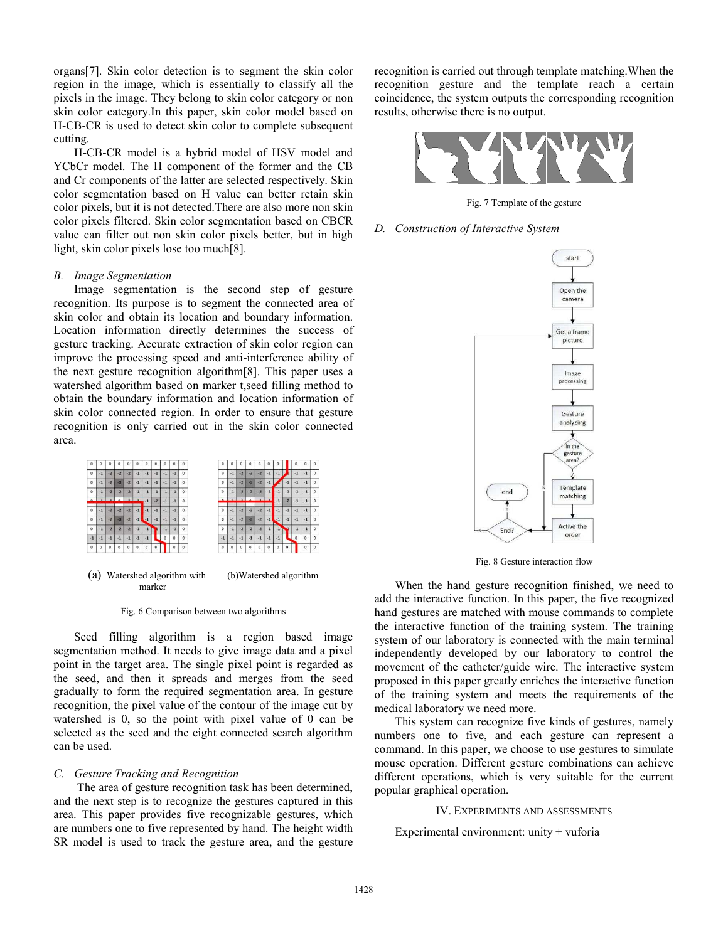organs[7]. Skin color detection is to segment the skin color region in the image, which is essentially to classify all the pixels in the image. They belong to skin color category or non skin color category.In this paper, skin color model based on H-CB-CR is used to detect skin color to complete subsequent cutting.

H-CB-CR model is a hybrid model of HSV model and YCbCr model. The H component of the former and the CB and Cr components of the latter are selected respectively. Skin color segmentation based on H value can better retain skin color pixels, but it is not detected.There are also more non skin color pixels filtered. Skin color segmentation based on CBCR value can filter out non skin color pixels better, but in high light, skin color pixels lose too much[8].

# *B. Image Segmentation*

Image segmentation is the second step of gesture recognition. Its purpose is to segment the connected area of skin color and obtain its location and boundary information. Location information directly determines the success of gesture tracking. Accurate extraction of skin color region can improve the processing speed and anti-interference ability of the next gesture recognition algorithm[8]. This paper uses a watershed algorithm based on marker t,seed filling method to obtain the boundary information and location information of skin color connected region. In order to ensure that gesture recognition is only carried out in the skin color connected area.



<sup>(</sup>a) Watershed algorithm with (b)Watershed algorithm marker

Fig. 6 Comparison between two algorithms

Seed filling algorithm is a region based image segmentation method. It needs to give image data and a pixel point in the target area. The single pixel point is regarded as the seed, and then it spreads and merges from the seed gradually to form the required segmentation area. In gesture recognition, the pixel value of the contour of the image cut by watershed is 0, so the point with pixel value of 0 can be selected as the seed and the eight connected search algorithm can be used.

### *C. Gesture Tracking and Recognition*

 The area of gesture recognition task has been determined, and the next step is to recognize the gestures captured in this area. This paper provides five recognizable gestures, which are numbers one to five represented by hand. The height width SR model is used to track the gesture area, and the gesture recognition is carried out through template matching.When the recognition gesture and the template reach a certain coincidence, the system outputs the corresponding recognition results, otherwise there is no output.



Fig. 7 Template of the gesture

#### *D. Construction of Interactive System*



Fig. 8 Gesture interaction flow

When the hand gesture recognition finished, we need to add the interactive function. In this paper, the five recognized hand gestures are matched with mouse commands to complete the interactive function of the training system. The training system of our laboratory is connected with the main terminal independently developed by our laboratory to control the movement of the catheter/guide wire. The interactive system proposed in this paper greatly enriches the interactive function of the training system and meets the requirements of the medical laboratory we need more.

This system can recognize five kinds of gestures, namely numbers one to five, and each gesture can represent a command. In this paper, we choose to use gestures to simulate mouse operation. Different gesture combinations can achieve different operations, which is very suitable for the current popular graphical operation.

# IV. EXPERIMENTS AND ASSESSMENTS

Experimental environment: unity + vuforia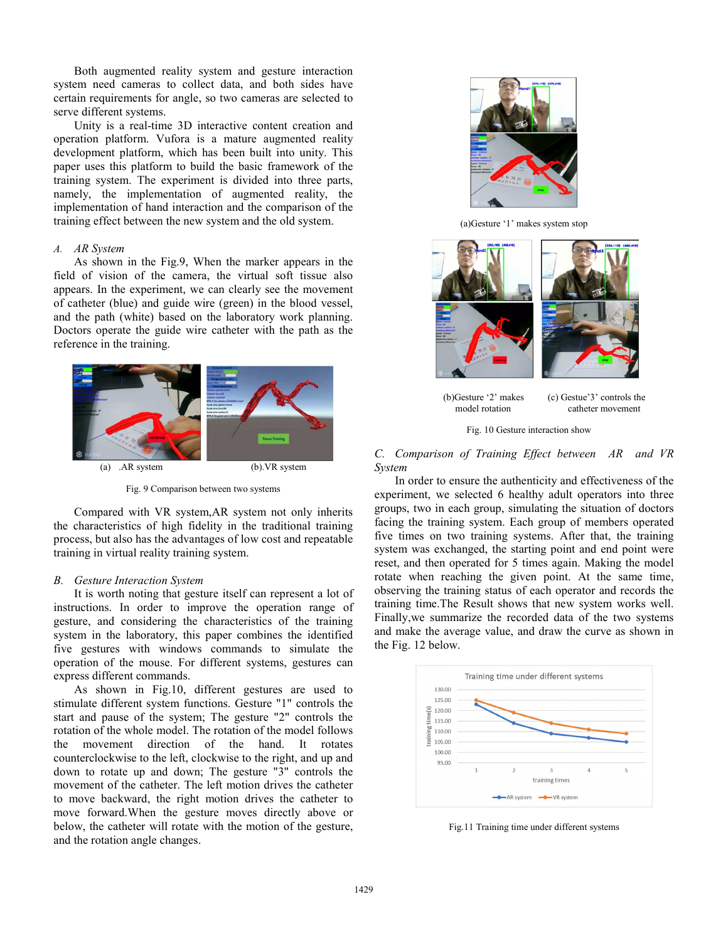Both augmented reality system and gesture interaction system need cameras to collect data, and both sides have certain requirements for angle, so two cameras are selected to serve different systems.

Unity is a real-time 3D interactive content creation and operation platform. Vufora is a mature augmented reality development platform, which has been built into unity. This paper uses this platform to build the basic framework of the training system. The experiment is divided into three parts, namely, the implementation of augmented reality, the implementation of hand interaction and the comparison of the training effect between the new system and the old system.

# *A. AR System*

As shown in the Fig.9, When the marker appears in the field of vision of the camera, the virtual soft tissue also appears. In the experiment, we can clearly see the movement of catheter (blue) and guide wire (green) in the blood vessel, and the path (white) based on the laboratory work planning. Doctors operate the guide wire catheter with the path as the reference in the training.



Fig. 9 Comparison between two systems

Compared with VR system,AR system not only inherits the characteristics of high fidelity in the traditional training process, but also has the advantages of low cost and repeatable training in virtual reality training system.

### *B. Gesture Interaction System*

It is worth noting that gesture itself can represent a lot of instructions. In order to improve the operation range of gesture, and considering the characteristics of the training system in the laboratory, this paper combines the identified five gestures with windows commands to simulate the operation of the mouse. For different systems, gestures can express different commands.

As shown in Fig.10, different gestures are used to stimulate different system functions. Gesture "1" controls the start and pause of the system; The gesture "2" controls the rotation of the whole model. The rotation of the model follows the movement direction of the hand. It rotates counterclockwise to the left, clockwise to the right, and up and down to rotate up and down; The gesture "3" controls the movement of the catheter. The left motion drives the catheter to move backward, the right motion drives the catheter to move forward.When the gesture moves directly above or below, the catheter will rotate with the motion of the gesture, and the rotation angle changes.



(a)Gesture '1' makes system stop



(b)Gesture '2' makes (c) Gestue'3' controls the model rotation catheter movement catheter movement



*C. Comparison of Training Effect between AR and VR System* 

In order to ensure the authenticity and effectiveness of the experiment, we selected 6 healthy adult operators into three groups, two in each group, simulating the situation of doctors facing the training system. Each group of members operated five times on two training systems. After that, the training system was exchanged, the starting point and end point were reset, and then operated for 5 times again. Making the model rotate when reaching the given point. At the same time, observing the training status of each operator and records the training time.The Result shows that new system works well. Finally,we summarize the recorded data of the two systems and make the average value, and draw the curve as shown in the Fig. 12 below.



Fig.11 Training time under different systems